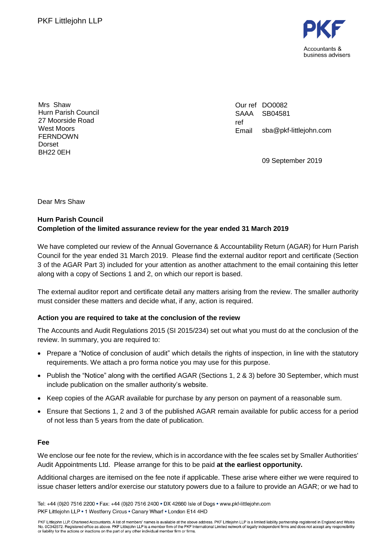

Mrs Shaw Hurn Parish Council 27 Moorside Road West Moors FERNDOWN Dorset BH22 0EH

Our ref DO0082 SAAA ref Email SB04581 sba@pkf-littlejohn.com

09 September 2019

Dear Mrs Shaw

## **Hurn Parish Council Completion of the limited assurance review for the year ended 31 March 2019**

We have completed our review of the Annual Governance & Accountability Return (AGAR) for Hurn Parish Council for the year ended 31 March 2019. Please find the external auditor report and certificate (Section 3 of the AGAR Part 3) included for your attention as another attachment to the email containing this letter along with a copy of Sections 1 and 2, on which our report is based.

The external auditor report and certificate detail any matters arising from the review. The smaller authority must consider these matters and decide what, if any, action is required.

## **Action you are required to take at the conclusion of the review**

The Accounts and Audit Regulations 2015 (SI 2015/234) set out what you must do at the conclusion of the review. In summary, you are required to:

- Prepare a "Notice of conclusion of audit" which details the rights of inspection, in line with the statutory requirements. We attach a pro forma notice you may use for this purpose.
- Publish the "Notice" along with the certified AGAR (Sections 1, 2 & 3) before 30 September, which must include publication on the smaller authority's website.
- Keep copies of the AGAR available for purchase by any person on payment of a reasonable sum.
- Ensure that Sections 1, 2 and 3 of the published AGAR remain available for public access for a period of not less than 5 years from the date of publication.

#### **Fee**

We enclose our fee note for the review, which is in accordance with the fee scales set by Smaller Authorities' Audit Appointments Ltd. Please arrange for this to be paid **at the earliest opportunity.**

Additional charges are itemised on the fee note if applicable. These arise where either we were required to issue chaser letters and/or exercise our statutory powers due to a failure to provide an AGAR; or we had to

Tel: +44 (0)20 7516 2200 • Fax: +44 (0)20 7516 2400 • DX 42660 Isle of Dogs • www.pkf-littlejohn.com PKF Littlejohn LLP . 1 Westferry Circus . Canary Wharf . London E14 4HD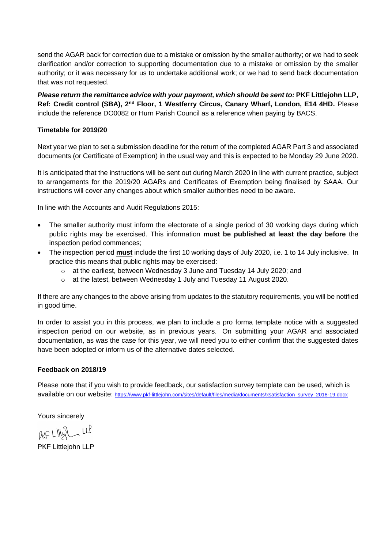send the AGAR back for correction due to a mistake or omission by the smaller authority; or we had to seek clarification and/or correction to supporting documentation due to a mistake or omission by the smaller authority; or it was necessary for us to undertake additional work; or we had to send back documentation that was not requested.

*Please return the remittance advice with your payment, which should be sent to: PKF Littlejohn LLP,* **Ref: Credit control (SBA), 2nd Floor, 1 Westferry Circus, Canary Wharf, London, E14 4HD.** Please include the reference DO0082 or Hurn Parish Council as a reference when paying by BACS.

### **Timetable for 2019/20**

Next year we plan to set a submission deadline for the return of the completed AGAR Part 3 and associated documents (or Certificate of Exemption) in the usual way and this is expected to be Monday 29 June 2020.

It is anticipated that the instructions will be sent out during March 2020 in line with current practice, subject to arrangements for the 2019/20 AGARs and Certificates of Exemption being finalised by SAAA. Our instructions will cover any changes about which smaller authorities need to be aware.

In line with the Accounts and Audit Regulations 2015:

- The smaller authority must inform the electorate of a single period of 30 working days during which public rights may be exercised. This information **must be published at least the day before** the inspection period commences;
- The inspection period **must** include the first 10 working days of July 2020, i.e. 1 to 14 July inclusive. In practice this means that public rights may be exercised:
	- $\circ$  at the earliest, between Wednesday 3 June and Tuesday 14 July 2020; and
	- o at the latest, between Wednesday 1 July and Tuesday 11 August 2020.

If there are any changes to the above arising from updates to the statutory requirements, you will be notified in good time.

In order to assist you in this process, we plan to include a pro forma template notice with a suggested inspection period on our website, as in previous years. On submitting your AGAR and associated documentation, as was the case for this year, we will need you to either confirm that the suggested dates have been adopted or inform us of the alternative dates selected.

#### **Feedback on 2018/19**

Please note that if you wish to provide feedback, our satisfaction survey template can be used, which is available on our website: [https://www.pkf-littlejohn.com/sites/default/files/media/documents/xsatisfaction\\_survey\\_2018-19.docx](https://www.pkf-littlejohn.com/sites/default/files/media/documents/xsatisfaction_survey_2018-19.docx)

Yours sincerely

 $AF LHQL LL$ 

PKF Littlejohn LLP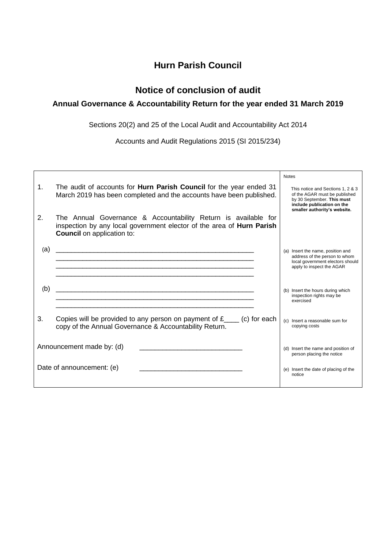# **Hurn Parish Council**

# **Notice of conclusion of audit**

# **Annual Governance & Accountability Return for the year ended 31 March 2019**

Sections 20(2) and 25 of the Local Audit and Accountability Act 2014

Accounts and Audit Regulations 2015 (SI 2015/234)

|     |                                                                                                                                                                              | <b>Notes</b>                                                                                                                                                   |
|-----|------------------------------------------------------------------------------------------------------------------------------------------------------------------------------|----------------------------------------------------------------------------------------------------------------------------------------------------------------|
| 1.  | The audit of accounts for <b>Hurn Parish Council</b> for the year ended 31<br>March 2019 has been completed and the accounts have been published.                            | This notice and Sections 1, 2 & 3<br>of the AGAR must be published<br>by 30 September. This must<br>include publication on the<br>smaller authority's website. |
| 2.  | The Annual Governance & Accountability Return is available for<br>inspection by any local government elector of the area of Hurn Parish<br><b>Council</b> on application to: |                                                                                                                                                                |
| (a) |                                                                                                                                                                              | (a) Insert the name, position and<br>address of the person to whom<br>local government electors should<br>apply to inspect the AGAR                            |
| (b) |                                                                                                                                                                              | (b) Insert the hours during which<br>inspection rights may be<br>exercised                                                                                     |
| 3.  | Copies will be provided to any person on payment of $f_{\text{max}}(c)$ for each<br>copy of the Annual Governance & Accountability Return.                                   | (c) Insert a reasonable sum for<br>copying costs                                                                                                               |
|     | Announcement made by: (d)                                                                                                                                                    | (d) Insert the name and position of<br>person placing the notice                                                                                               |
|     | Date of announcement: (e)                                                                                                                                                    | (e) Insert the date of placing of the<br>notice                                                                                                                |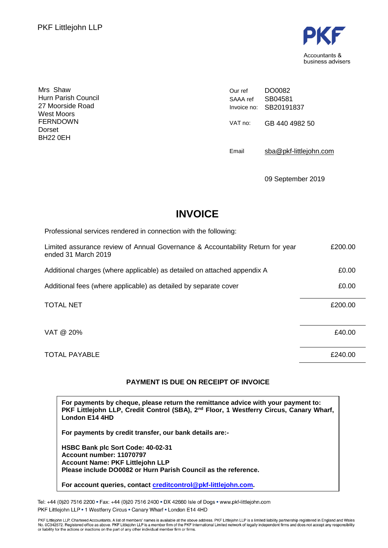

Mrs Shaw Hurn Parish Council 27 Moorside Road West Moors FERNDOWN Dorset BH22 0EH

Our ref SAAA ref Invoice no: SB20191837 DO0082 SB04581 VAT no: GB 440 4982 50

Email [sba@pkf-littlejohn.com](mailto:sba@pkf-littlejohn.com)

09 September 2019

# **INVOICE**

| Professional services rendered in connection with the following:                                      |         |
|-------------------------------------------------------------------------------------------------------|---------|
| Limited assurance review of Annual Governance & Accountability Return for year<br>ended 31 March 2019 | £200.00 |
| Additional charges (where applicable) as detailed on attached appendix A                              | £0.00   |
| Additional fees (where applicable) as detailed by separate cover                                      | £0.00   |
| <b>TOTAL NET</b>                                                                                      | £200.00 |
| VAT @ 20%                                                                                             | £40.00  |
| <b>TOTAL PAYABLE</b>                                                                                  | £240.00 |

## **PAYMENT IS DUE ON RECEIPT OF INVOICE**

**For payments by cheque, please return the remittance advice with your payment to: PKF Littlejohn LLP, Credit Control (SBA), 2nd Floor, 1 Westferry Circus, Canary Wharf, London E14 4HD**

**For payments by credit transfer, our bank details are:-**

**HSBC Bank plc Sort Code: 40-02-31 Account number: 11070797 Account Name: PKF Littlejohn LLP Please include DO0082 or Hurn Parish Council as the reference.**

**For account queries, contact [creditcontrol@pkf-littlejohn.com.](mailto:creditcontrol@pkf-littlejohn.com)**

Tel: +44 (0)20 7516 2200 · Fax: +44 (0)20 7516 2400 · DX 42660 Isle of Dogs · www.pkf-littlejohn.com PKF Littlejohn LLP . 1 Westferry Circus . Canary Wharf . London E14 4HD